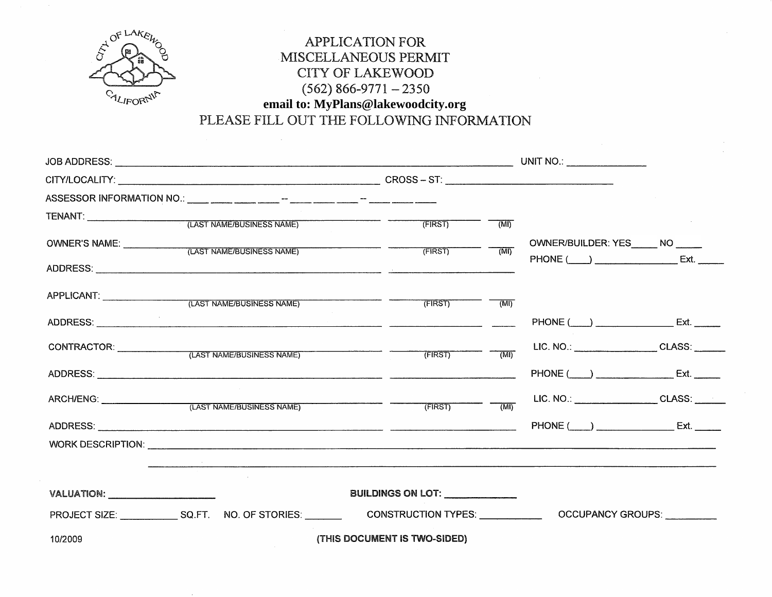

## APPLICATION FOR MISCELLANEOUS PERMIT CITY OF LAKEWOOD  $(562) 866 - 9771 - 2350$ **email to: MyPlans@lakewoodcity.org**

PLEASE FILL OUT THE FOLLOWING INFORMATION

|                                         | (LAST NAME/BUSINESS NAME)                                                        | (FIRST)                          | (MI)                                                                                                                                                                                                                                                                                                                                                                                                                                                                            |                                                     |      |
|-----------------------------------------|----------------------------------------------------------------------------------|----------------------------------|---------------------------------------------------------------------------------------------------------------------------------------------------------------------------------------------------------------------------------------------------------------------------------------------------------------------------------------------------------------------------------------------------------------------------------------------------------------------------------|-----------------------------------------------------|------|
|                                         | OWNER'S NAME: (LAST NAME/BUSINESS NAME) (FIRST)                                  |                                  | $\overline{(M)}$                                                                                                                                                                                                                                                                                                                                                                                                                                                                | OWNER/BUILDER: YES NO                               | Ext. |
|                                         |                                                                                  |                                  |                                                                                                                                                                                                                                                                                                                                                                                                                                                                                 |                                                     |      |
|                                         | APPLICANT: (LAST NAME/BUSINESS NAME)                                             | (FIRST)                          | $\overline{\phantom{a}}$ $\overline{\phantom{a}}$ $\overline{\phantom{a}}$ $\overline{\phantom{a}}$ $\overline{\phantom{a}}$ $\overline{\phantom{a}}$ $\overline{\phantom{a}}$ $\overline{\phantom{a}}$ $\overline{\phantom{a}}$ $\overline{\phantom{a}}$ $\overline{\phantom{a}}$ $\overline{\phantom{a}}$ $\overline{\phantom{a}}$ $\overline{\phantom{a}}$ $\overline{\phantom{a}}$ $\overline{\phantom{a}}$ $\overline{\phantom{a}}$ $\overline{\phantom{a}}$ $\overline{\$ |                                                     |      |
|                                         |                                                                                  |                                  |                                                                                                                                                                                                                                                                                                                                                                                                                                                                                 | PHONE (____) __________________ Ext. ______         |      |
|                                         | CONTRACTOR: (LAST NAME/BUSINESS NAME)                                            | (FIRST)                          | $\overline{MN}$                                                                                                                                                                                                                                                                                                                                                                                                                                                                 | LIC. NO.: _______________________CLASS: ______      |      |
|                                         |                                                                                  |                                  |                                                                                                                                                                                                                                                                                                                                                                                                                                                                                 |                                                     |      |
|                                         | ARCH/ENG: (LAST NAME/BUSINESS NAME) (FIRST) (MI)                                 |                                  |                                                                                                                                                                                                                                                                                                                                                                                                                                                                                 | LIC. NO.: CLASS:                                    |      |
|                                         |                                                                                  |                                  |                                                                                                                                                                                                                                                                                                                                                                                                                                                                                 | PHONE (____) _________________________ Ext. _______ |      |
|                                         |                                                                                  |                                  |                                                                                                                                                                                                                                                                                                                                                                                                                                                                                 |                                                     |      |
|                                         | ,他们的人们也不会不会不会。""我们的人们,我们也不会不会不会不会不会不会不会。""我们的人们,我们也不会不会不会不会不会。""我们的人们的人们,我们也不会不会 |                                  |                                                                                                                                                                                                                                                                                                                                                                                                                                                                                 |                                                     |      |
| VALUATION: ____________________________ |                                                                                  | BUILDINGS ON LOT: ______________ |                                                                                                                                                                                                                                                                                                                                                                                                                                                                                 |                                                     |      |
|                                         | PROJECT SIZE: SIZE: SQ.FT. NO. OF STORIES: CONSTRUCTION TYPES: OCCUPANCY GROUPS: |                                  |                                                                                                                                                                                                                                                                                                                                                                                                                                                                                 |                                                     |      |
| 10/2009                                 |                                                                                  | (THIS DOCUMENT IS TWO-SIDED)     |                                                                                                                                                                                                                                                                                                                                                                                                                                                                                 |                                                     |      |